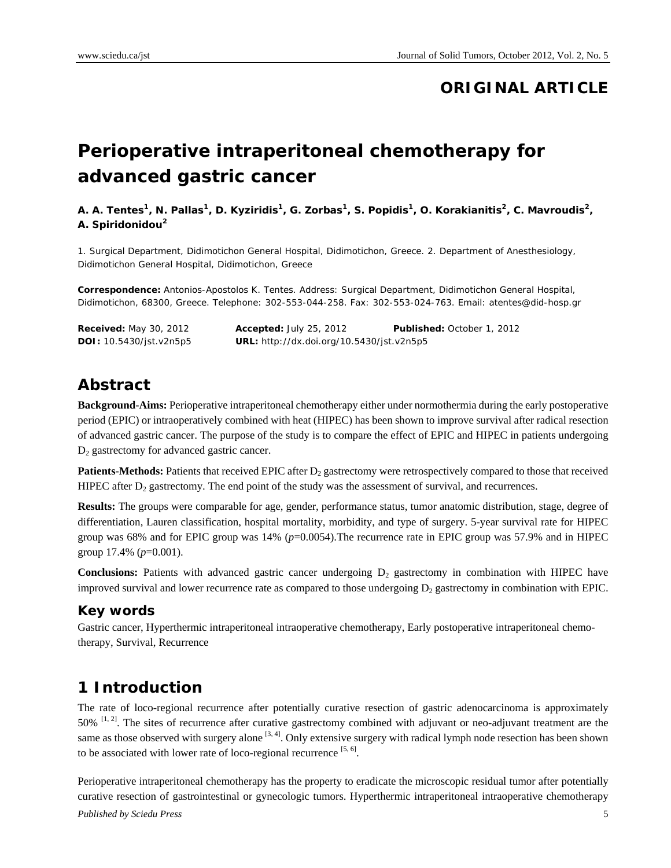# **ORIGINAL ARTICLE**

# **Perioperative intraperitoneal chemotherapy for advanced gastric cancer**

#### A. A. Tentes<sup>1</sup>, N. Pallas<sup>1</sup>, D. Kyziridis<sup>1</sup>, G. Zorbas<sup>1</sup>, S. Popidis<sup>1</sup>, O. Korakianitis<sup>2</sup>, C. Mavroudis<sup>2</sup>, **A. Spiridonidou<sup>2</sup>**

1. Surgical Department, Didimotichon General Hospital, Didimotichon, Greece. 2. Department of Anesthesiology, Didimotichon General Hospital, Didimotichon, Greece

**Correspondence:** Antonios-Apostolos K. Tentes. Address: Surgical Department, Didimotichon General Hospital, Didimotichon, 68300, Greece. Telephone: 302-553-044-258. Fax: 302-553-024-763. Email: atentes@did-hosp.gr

| <b>Received:</b> May 30, 2012  | Accepted: July 25, 2012                   | Published: October 1, 2012 |
|--------------------------------|-------------------------------------------|----------------------------|
| <b>DOI:</b> 10.5430/jst.v2n5p5 | URL: http://dx.doi.org/10.5430/jst.v2n5p5 |                            |

# **Abstract**

**Background-Aims:** Perioperative intraperitoneal chemotherapy either under normothermia during the early postoperative period (EPIC) or intraoperatively combined with heat (HIPEC) has been shown to improve survival after radical resection of advanced gastric cancer. The purpose of the study is to compare the effect of EPIC and HIPEC in patients undergoing D<sub>2</sub> gastrectomy for advanced gastric cancer.

**Patients-Methods:** Patients that received EPIC after D<sub>2</sub> gastrectomy were retrospectively compared to those that received HIPEC after  $D_2$  gastrectomy. The end point of the study was the assessment of survival, and recurrences.

**Results:** The groups were comparable for age, gender, performance status, tumor anatomic distribution, stage, degree of differentiation, Lauren classification, hospital mortality, morbidity, and type of surgery. 5-year survival rate for HIPEC group was 68% and for EPIC group was 14% ( $p=0.0054$ ). The recurrence rate in EPIC group was 57.9% and in HIPEC group 17.4% (*p*=0.001).

**Conclusions:** Patients with advanced gastric cancer undergoing  $D_2$  gastrectomy in combination with HIPEC have improved survival and lower recurrence rate as compared to those undergoing  $D_2$  gastrectomy in combination with EPIC.

#### **Key words**

Gastric cancer, Hyperthermic intraperitoneal intraoperative chemotherapy, Early postoperative intraperitoneal chemotherapy, Survival, Recurrence

# **1 Introduction**

The rate of loco-regional recurrence after potentially curative resection of gastric adenocarcinoma is approximately  $50\%$   $^{[1,2]}$ . The sites of recurrence after curative gastrectomy combined with adjuvant or neo-adjuvant treatment are the same as those observed with surgery alone  $[3, 4]$ . Only extensive surgery with radical lymph node resection has been shown to be associated with lower rate of loco-regional recurrence  $[5, 6]$ .

*Published by Sciedu Press* 5 Perioperative intraperitoneal chemotherapy has the property to eradicate the microscopic residual tumor after potentially curative resection of gastrointestinal or gynecologic tumors. Hyperthermic intraperitoneal intraoperative chemotherapy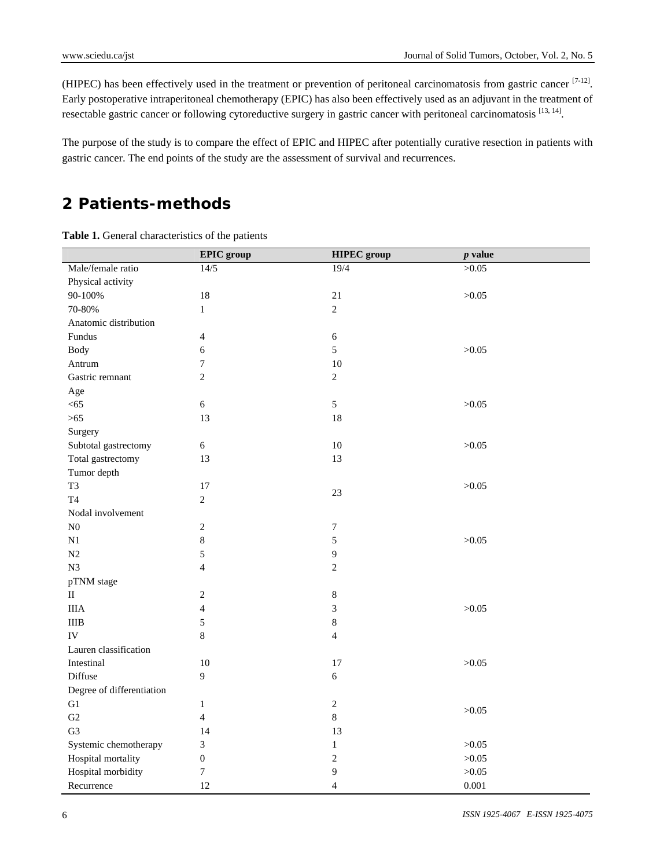(HIPEC) has been effectively used in the treatment or prevention of peritoneal carcinomatosis from gastric cancer [7-12]. Early postoperative intraperitoneal chemotherapy (EPIC) has also been effectively used as an adjuvant in the treatment of resectable gastric cancer or following cytoreductive surgery in gastric cancer with peritoneal carcinomatosis [13, 14].

The purpose of the study is to compare the effect of EPIC and HIPEC after potentially curative resection in patients with gastric cancer. The end points of the study are the assessment of survival and recurrences.

# **2 Patients-methods**

|                           | <b>EPIC</b> group       | <b>HIPEC</b> group | $p$ value |
|---------------------------|-------------------------|--------------------|-----------|
| Male/female ratio         | 14/5                    | 19/4               | >0.05     |
| Physical activity         |                         |                    |           |
| 90-100%                   | $18\,$                  | 21                 | >0.05     |
| 70-80%                    | $\mathbf{1}$            | $\overline{2}$     |           |
| Anatomic distribution     |                         |                    |           |
| Fundus                    | $\overline{4}$          | $\sqrt{6}$         |           |
| <b>Body</b>               | 6                       | 5                  | >0.05     |
| Antrum                    | $\tau$                  | $10\,$             |           |
| Gastric remnant           | $\overline{2}$          | $\overline{2}$     |           |
| Age                       |                         |                    |           |
| $< 65$                    | $\sqrt{6}$              | $\sqrt{5}$         | >0.05     |
| $>65$                     | 13                      | 18                 |           |
| Surgery                   |                         |                    |           |
| Subtotal gastrectomy      | $\sqrt{6}$              | $10\,$             | >0.05     |
| Total gastrectomy         | 13                      | 13                 |           |
| Tumor depth               |                         |                    |           |
| T <sub>3</sub>            | 17                      |                    | >0.05     |
| <b>T4</b>                 | $\overline{2}$          | $23\,$             |           |
| Nodal involvement         |                         |                    |           |
| ${\bf N0}$                | $\sqrt{2}$              | $\boldsymbol{7}$   |           |
| $\mathbf{N}1$             | $\,8\,$                 | $\sqrt{5}$         | >0.05     |
| $\rm N2$                  | 5                       | $\overline{9}$     |           |
| N <sub>3</sub>            | $\overline{4}$          | $\overline{2}$     |           |
| pTNM stage                |                         |                    |           |
| $\rm II$                  | $\sqrt{2}$              | $\,8\,$            |           |
| <b>IIIA</b>               | $\overline{\mathbf{4}}$ | $\mathfrak{Z}$     | >0.05     |
| $\rm IIIB$                | 5                       | $\,8\,$            |           |
| IV                        | 8                       | $\overline{4}$     |           |
| Lauren classification     |                         |                    |           |
| Intestinal                | $10\,$                  | 17                 | >0.05     |
| Diffuse                   | 9                       | $\sqrt{6}$         |           |
| Degree of differentiation |                         |                    |           |
| G1                        | $\mathbf{1}$            | $\sqrt{2}$         |           |
| G2                        | $\overline{4}$          | $\,8\,$            | >0.05     |
| G <sub>3</sub>            | 14                      | 13                 |           |
| Systemic chemotherapy     | 3                       | $\mathbf{1}$       | >0.05     |
| Hospital mortality        | $\boldsymbol{0}$        | $\sqrt{2}$         | >0.05     |
| Hospital morbidity        | $\boldsymbol{7}$        | 9                  | >0.05     |
| Recurrence                | 12                      | $\overline{4}$     | 0.001     |

Table 1. General characteristics of the patients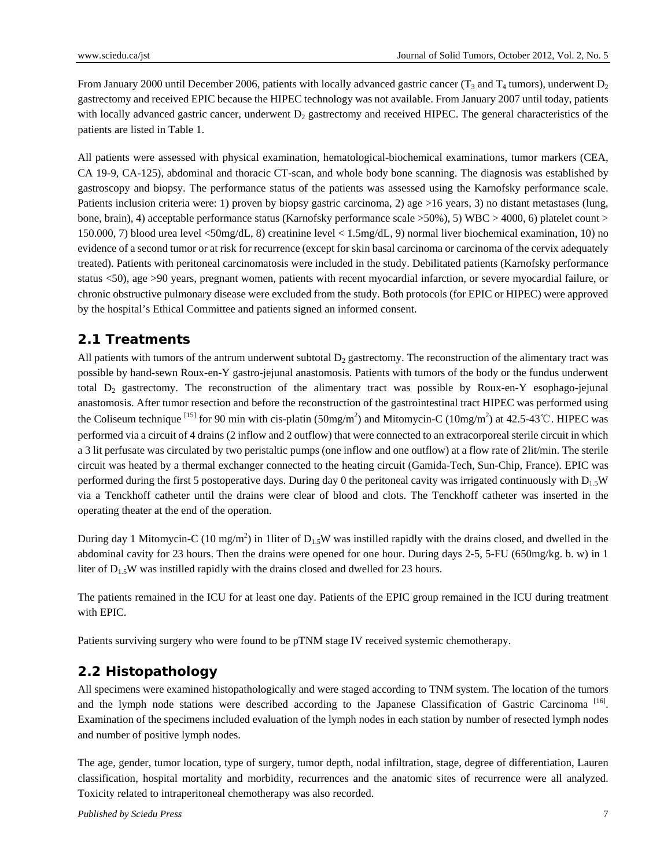From January 2000 until December 2006, patients with locally advanced gastric cancer ( $T_3$  and  $T_4$  tumors), underwent  $D_2$ gastrectomy and received EPIC because the HIPEC technology was not available. From January 2007 until today, patients with locally advanced gastric cancer, underwent  $D_2$  gastrectomy and received HIPEC. The general characteristics of the patients are listed in Table 1.

All patients were assessed with physical examination, hematological-biochemical examinations, tumor markers (CEA, CA 19-9, CA-125), abdominal and thoracic CT-scan, and whole body bone scanning. The diagnosis was established by gastroscopy and biopsy. The performance status of the patients was assessed using the Karnofsky performance scale. Patients inclusion criteria were: 1) proven by biopsy gastric carcinoma, 2) age >16 years, 3) no distant metastases (lung, bone, brain), 4) acceptable performance status (Karnofsky performance scale >50%), 5) WBC > 4000, 6) platelet count > 150.000, 7) blood urea level <50mg/dL, 8) creatinine level < 1.5mg/dL, 9) normal liver biochemical examination, 10) no evidence of a second tumor or at risk for recurrence (except for skin basal carcinoma or carcinoma of the cervix adequately treated). Patients with peritoneal carcinomatosis were included in the study. Debilitated patients (Karnofsky performance status <50), age >90 years, pregnant women, patients with recent myocardial infarction, or severe myocardial failure, or chronic obstructive pulmonary disease were excluded from the study. Both protocols (for EPIC or HIPEC) were approved by the hospital's Ethical Committee and patients signed an informed consent.

#### **2.1 Treatments**

All patients with tumors of the antrum underwent subtotal  $D<sub>2</sub>$  gastrectomy. The reconstruction of the alimentary tract was possible by hand-sewn Roux-en-Y gastro-jejunal anastomosis. Patients with tumors of the body or the fundus underwent total  $D_2$  gastrectomy. The reconstruction of the alimentary tract was possible by Roux-en-Y esophago-jejunal anastomosis. After tumor resection and before the reconstruction of the gastrointestinal tract HIPEC was performed using the Coliseum technique <sup>[15]</sup> for 90 min with cis-platin (50mg/m<sup>2</sup>) and Mitomycin-C (10mg/m<sup>2</sup>) at 42.5-43℃. HIPEC was performed via a circuit of 4 drains (2 inflow and 2 outflow) that were connected to an extracorporeal sterile circuit in which a 3 lit perfusate was circulated by two peristaltic pumps (one inflow and one outflow) at a flow rate of 2lit/min. The sterile circuit was heated by a thermal exchanger connected to the heating circuit (Gamida-Tech, Sun-Chip, France). EPIC was performed during the first 5 postoperative days. During day 0 the peritoneal cavity was irrigated continuously with  $D_1$ , W via a Tenckhoff catheter until the drains were clear of blood and clots. The Tenckhoff catheter was inserted in the operating theater at the end of the operation.

During day 1 Mitomycin-C (10 mg/m<sup>2</sup>) in 1liter of  $D_{1.5}W$  was instilled rapidly with the drains closed, and dwelled in the abdominal cavity for 23 hours. Then the drains were opened for one hour. During days 2-5, 5-FU (650mg/kg. b. w) in 1 liter of  $D_1$ , W was instilled rapidly with the drains closed and dwelled for 23 hours.

The patients remained in the ICU for at least one day. Patients of the EPIC group remained in the ICU during treatment with EPIC.

Patients surviving surgery who were found to be pTNM stage IV received systemic chemotherapy.

#### **2.2 Histopathology**

All specimens were examined histopathologically and were staged according to TNM system. The location of the tumors and the lymph node stations were described according to the Japanese Classification of Gastric Carcinoma<sup>[16]</sup>. Examination of the specimens included evaluation of the lymph nodes in each station by number of resected lymph nodes and number of positive lymph nodes.

The age, gender, tumor location, type of surgery, tumor depth, nodal infiltration, stage, degree of differentiation, Lauren classification, hospital mortality and morbidity, recurrences and the anatomic sites of recurrence were all analyzed. Toxicity related to intraperitoneal chemotherapy was also recorded.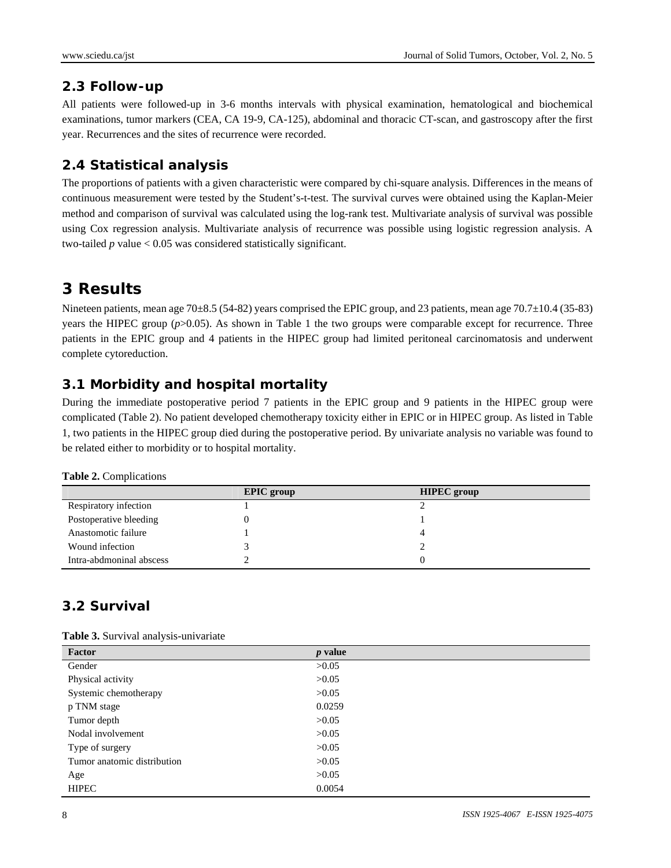#### **2.3 Follow-up**

All patients were followed-up in 3-6 months intervals with physical examination, hematological and biochemical examinations, tumor markers (CEA, CA 19-9, CA-125), abdominal and thoracic CT-scan, and gastroscopy after the first year. Recurrences and the sites of recurrence were recorded.

#### **2.4 Statistical analysis**

The proportions of patients with a given characteristic were compared by chi-square analysis. Differences in the means of continuous measurement were tested by the Student's-t-test. The survival curves were obtained using the Kaplan-Meier method and comparison of survival was calculated using the log-rank test. Multivariate analysis of survival was possible using Cox regression analysis. Multivariate analysis of recurrence was possible using logistic regression analysis. A two-tailed *p* value < 0.05 was considered statistically significant.

# **3 Results**

Nineteen patients, mean age 70±8.5 (54-82) years comprised the EPIC group, and 23 patients, mean age 70.7±10.4 (35-83) years the HIPEC group ( $p>0.05$ ). As shown in Table 1 the two groups were comparable except for recurrence. Three patients in the EPIC group and 4 patients in the HIPEC group had limited peritoneal carcinomatosis and underwent complete cytoreduction.

### **3.1 Morbidity and hospital mortality**

During the immediate postoperative period 7 patients in the EPIC group and 9 patients in the HIPEC group were complicated (Table 2). No patient developed chemotherapy toxicity either in EPIC or in HIPEC group. As listed in Table 1, two patients in the HIPEC group died during the postoperative period. By univariate analysis no variable was found to be related either to morbidity or to hospital mortality.

|  | <b>Table 2. Complications</b> |
|--|-------------------------------|
|--|-------------------------------|

|                          | <b>EPIC</b> group | <b>HIPEC</b> group |
|--------------------------|-------------------|--------------------|
| Respiratory infection    |                   |                    |
| Postoperative bleeding   |                   |                    |
| Anastomotic failure      |                   |                    |
| Wound infection          |                   |                    |
| Intra-abdmoninal abscess |                   |                    |

### **3.2 Survival**

**Table 3.** Survival analysis-univariate

| <b>Tuble of Bully Available of the contract of the second contract of the second contract of the second contract of the second contract of the second contract of the second contract of the second contract of the second contr</b> |           |
|--------------------------------------------------------------------------------------------------------------------------------------------------------------------------------------------------------------------------------------|-----------|
| Factor                                                                                                                                                                                                                               | $p$ value |
| Gender                                                                                                                                                                                                                               | >0.05     |
| Physical activity                                                                                                                                                                                                                    | >0.05     |
| Systemic chemotherapy                                                                                                                                                                                                                | >0.05     |
| p TNM stage                                                                                                                                                                                                                          | 0.0259    |
| Tumor depth                                                                                                                                                                                                                          | >0.05     |
| Nodal involvement                                                                                                                                                                                                                    | >0.05     |
| Type of surgery                                                                                                                                                                                                                      | >0.05     |
| Tumor anatomic distribution                                                                                                                                                                                                          | >0.05     |
| Age                                                                                                                                                                                                                                  | >0.05     |
| <b>HIPEC</b>                                                                                                                                                                                                                         | 0.0054    |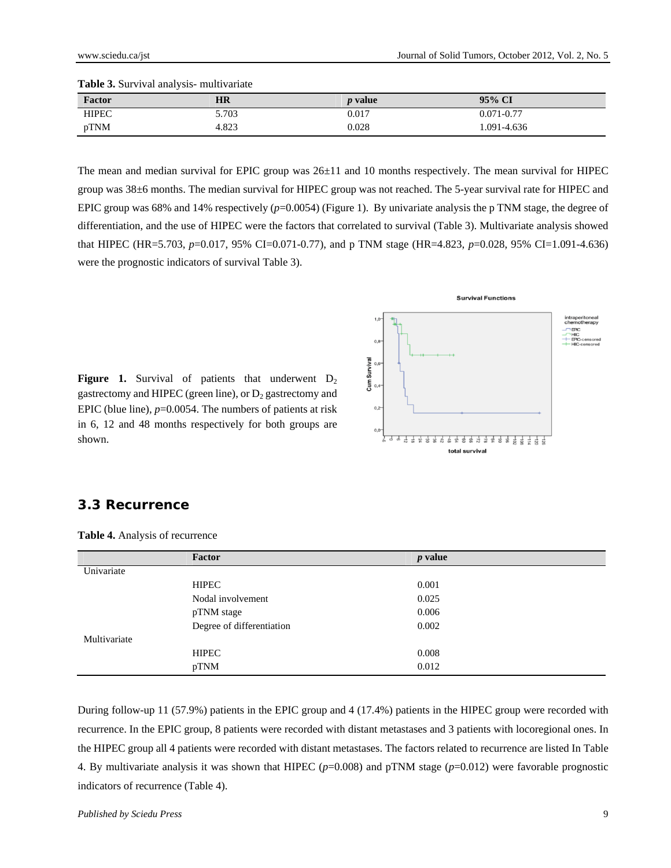| Factor       | <b>HR</b> | <i>p</i> value | 95% CI         |
|--------------|-----------|----------------|----------------|
| <b>HIPEC</b> | 5.703     | 0.017          | $0.071 - 0.77$ |
| pTNM         | 4.823     | 0.028          | 1.091-4.636    |

The mean and median survival for EPIC group was  $26±11$  and 10 months respectively. The mean survival for HIPEC group was 38±6 months. The median survival for HIPEC group was not reached. The 5-year survival rate for HIPEC and EPIC group was 68% and 14% respectively ( $p=0.0054$ ) (Figure 1). By univariate analysis the p TNM stage, the degree of differentiation, and the use of HIPEC were the factors that correlated to survival (Table 3). Multivariate analysis showed that HIPEC (HR=5.703, *p*=0.017, 95% CI=0.071-0.77), and p TNM stage (HR=4.823, *p*=0.028, 95% CI=1.091-4.636) were the prognostic indicators of survival Table 3).



**Figure 1.** Survival of patients that underwent  $D_2$ gastrectomy and HIPEC (green line), or  $D_2$  gastrectomy and EPIC (blue line),  $p=0.0054$ . The numbers of patients at risk in 6, 12 and 48 months respectively for both groups are shown.

#### **3.3 Recurrence**

|              | Factor                    | $p$ value |
|--------------|---------------------------|-----------|
| Univariate   |                           |           |
|              | <b>HIPEC</b>              | 0.001     |
|              | Nodal involvement         | 0.025     |
|              | pTNM stage                | 0.006     |
|              | Degree of differentiation | 0.002     |
| Multivariate |                           |           |
|              | <b>HIPEC</b>              | 0.008     |
|              | pTNM                      | 0.012     |
|              |                           |           |

**Table 4.** Analysis of recurrence

During follow-up 11 (57.9%) patients in the EPIC group and 4 (17.4%) patients in the HIPEC group were recorded with recurrence. In the EPIC group, 8 patients were recorded with distant metastases and 3 patients with locoregional ones. In the HIPEC group all 4 patients were recorded with distant metastases. The factors related to recurrence are listed In Table 4. By multivariate analysis it was shown that HIPEC (*p*=0.008) and pTNM stage (*p*=0.012) were favorable prognostic indicators of recurrence (Table 4).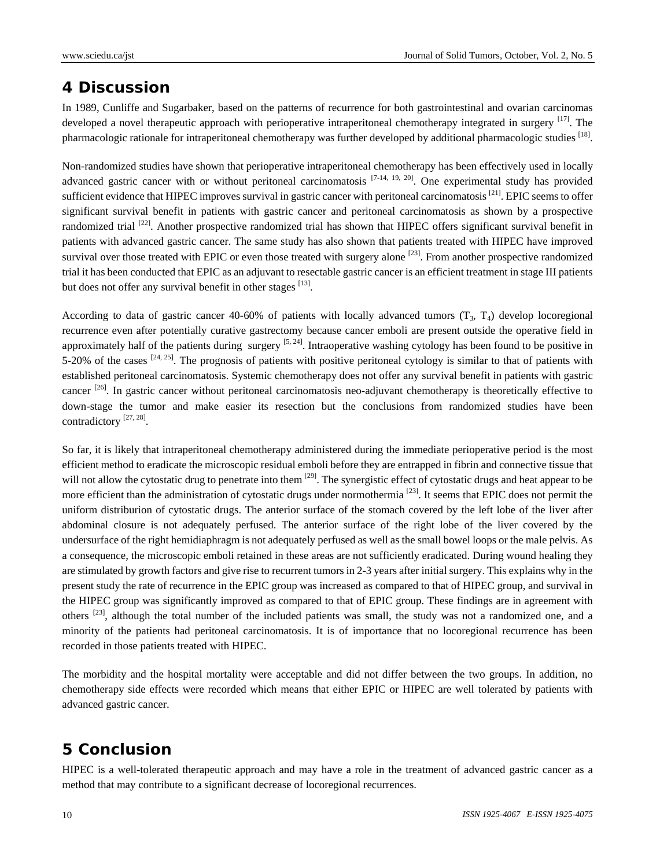## **4 Discussion**

In 1989, Cunliffe and Sugarbaker, based on the patterns of recurrence for both gastrointestinal and ovarian carcinomas developed a novel therapeutic approach with perioperative intraperitoneal chemotherapy integrated in surgery [17]. The pharmacologic rationale for intraperitoneal chemotherapy was further developed by additional pharmacologic studies [18].

Non-randomized studies have shown that perioperative intraperitoneal chemotherapy has been effectively used in locally advanced gastric cancer with or without peritoneal carcinomatosis  $[7-14, 19, 20]$ . One experimental study has provided sufficient evidence that HIPEC improves survival in gastric cancer with peritoneal carcinomatosis<sup>[21]</sup>. EPIC seems to offer significant survival benefit in patients with gastric cancer and peritoneal carcinomatosis as shown by a prospective randomized trial  $^{[22]}$ . Another prospective randomized trial has shown that HIPEC offers significant survival benefit in patients with advanced gastric cancer. The same study has also shown that patients treated with HIPEC have improved survival over those treated with EPIC or even those treated with surgery alone  $^{[23]}$ . From another prospective randomized trial it has been conducted that EPIC as an adjuvant to resectable gastric cancer is an efficient treatment in stage III patients but does not offer any survival benefit in other stages  $^{[13]}$ .

According to data of gastric cancer 40-60% of patients with locally advanced tumors  $(T_3, T_4)$  develop locoregional recurrence even after potentially curative gastrectomy because cancer emboli are present outside the operative field in approximately half of the patients during surgery  $[5, 24]$ . Intraoperative washing cytology has been found to be positive in 5-20% of the cases  $^{[24, 25]}$ . The prognosis of patients with positive peritoneal cytology is similar to that of patients with established peritoneal carcinomatosis. Systemic chemotherapy does not offer any survival benefit in patients with gastric cancer  $^{[26]}$ . In gastric cancer without peritoneal carcinomatosis neo-adjuvant chemotherapy is theoretically effective to down-stage the tumor and make easier its resection but the conclusions from randomized studies have been contradictory<sup>[27, 28]</sup>.

So far, it is likely that intraperitoneal chemotherapy administered during the immediate perioperative period is the most efficient method to eradicate the microscopic residual emboli before they are entrapped in fibrin and connective tissue that will not allow the cytostatic drug to penetrate into them <sup>[29]</sup>. The synergistic effect of cytostatic drugs and heat appear to be more efficient than the administration of cytostatic drugs under normothermia [23]. It seems that EPIC does not permit the uniform distriburion of cytostatic drugs. The anterior surface of the stomach covered by the left lobe of the liver after abdominal closure is not adequately perfused. The anterior surface of the right lobe of the liver covered by the undersurface of the right hemidiaphragm is not adequately perfused as well as the small bowel loops or the male pelvis. As a consequence, the microscopic emboli retained in these areas are not sufficiently eradicated. During wound healing they are stimulated by growth factors and give rise to recurrent tumors in 2-3 years after initial surgery. This explains why in the present study the rate of recurrence in the EPIC group was increased as compared to that of HIPEC group, and survival in the HIPEC group was significantly improved as compared to that of EPIC group. These findings are in agreement with others  $^{[23]}$ , although the total number of the included patients was small, the study was not a randomized one, and a minority of the patients had peritoneal carcinomatosis. It is of importance that no locoregional recurrence has been recorded in those patients treated with HIPEC.

The morbidity and the hospital mortality were acceptable and did not differ between the two groups. In addition, no chemotherapy side effects were recorded which means that either EPIC or HIPEC are well tolerated by patients with advanced gastric cancer.

# **5 Conclusion**

HIPEC is a well-tolerated therapeutic approach and may have a role in the treatment of advanced gastric cancer as a method that may contribute to a significant decrease of locoregional recurrences.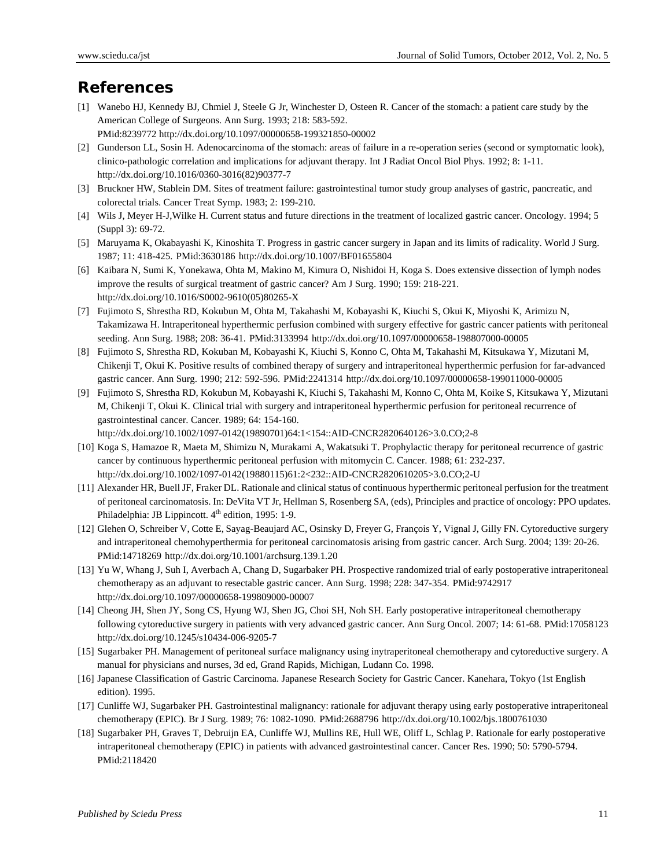# **References**

- [1] Wanebo HJ, Kennedy BJ, Chmiel J, Steele G Jr, Winchester D, Osteen R. Cancer of the stomach: a patient care study by the American College of Surgeons. Ann Surg. 1993; 218: 583-592. PMid:8239772 http://dx.doi.org/10.1097/00000658-199321850-00002
- [2] Gunderson LL, Sosin H. Adenocarcinoma of the stomach: areas of failure in a re-operation series (second or symptomatic look), clinico-pathologic correlation and implications for adjuvant therapy. Int J Radiat Oncol Biol Phys. 1992; 8: 1-11. http://dx.doi.org/10.1016/0360-3016(82)90377-7
- [3] Bruckner HW, Stablein DM. Sites of treatment failure: gastrointestinal tumor study group analyses of gastric, pancreatic, and colorectal trials. Cancer Treat Symp. 1983; 2: 199-210.
- [4] Wils J, Meyer H-J,Wilke H. Current status and future directions in the treatment of localized gastric cancer. Oncology. 1994; 5 (Suppl 3): 69-72.
- [5] Maruyama K, Okabayashi K, Kinoshita T. Progress in gastric cancer surgery in Japan and its limits of radicality. World J Surg. 1987; 11: 418-425. PMid:3630186 http://dx.doi.org/10.1007/BF01655804
- [6] Kaibara N, Sumi K, Yonekawa, Ohta M, Makino M, Kimura O, Nishidoi H, Koga S. Does extensive dissection of lymph nodes improve the results of surgical treatment of gastric cancer? Am J Surg. 1990; 159: 218-221. http://dx.doi.org/10.1016/S0002-9610(05)80265-X
- [7] Fujimoto S, Shrestha RD, Kokubun M, Ohta M, Takahashi M, Kobayashi K, Kiuchi S, Okui K, Miyoshi K, Arimizu N, Takamizawa H. lntraperitoneal hyperthermic perfusion combined with surgery effective for gastric cancer patients with peritoneal seeding. Ann Surg. 1988; 208: 36-41. PMid:3133994 http://dx.doi.org/10.1097/00000658-198807000-00005
- [8] Fujimoto S, Shrestha RD, Kokuban M, Kobayashi K, Kiuchi S, Konno C, Ohta M, Takahashi M, Kitsukawa Y, Mizutani M, Chikenji T, Okui K. Positive results of combined therapy of surgery and intraperitoneal hyperthermic perfusion for far-advanced gastric cancer. Ann Surg. 1990; 212: 592-596. PMid:2241314 http://dx.doi.org/10.1097/00000658-199011000-00005
- [9] Fujimoto S, Shrestha RD, Kokubun M, Kobayashi K, Kiuchi S, Takahashi M, Konno C, Ohta M, Koike S, Kitsukawa Y, Mizutani M, Chikenji T, Okui K. Clinical trial with surgery and intraperitoneal hyperthermic perfusion for peritoneal recurrence of gastrointestinal cancer. Cancer. 1989; 64: 154-160.

http://dx.doi.org/10.1002/1097-0142(19890701)64:1<154::AID-CNCR2820640126>3.0.CO;2-8

- [10] Koga S, Hamazoe R, Maeta M, Shimizu N, Murakami A, Wakatsuki T. Prophylactic therapy for peritoneal recurrence of gastric cancer by continuous hyperthermic peritoneal perfusion with mitomycin C. Cancer. 1988; 61: 232-237. http://dx.doi.org/10.1002/1097-0142(19880115)61:2<232::AID-CNCR2820610205>3.0.CO;2-U
- [11] Alexander HR, Buell JF, Fraker DL. Rationale and clinical status of continuous hyperthermic peritoneal perfusion for the treatment of peritoneal carcinomatosis. In: DeVita VT Jr, Hellman S, Rosenberg SA, (eds), Principles and practice of oncology: PPO updates. Philadelphia: JB Lippincott.  $4<sup>th</sup>$  edition, 1995: 1-9.
- [12] Glehen O, Schreiber V, Cotte E, Sayag-Beaujard AC, Osinsky D, Freyer G, François Y, Vignal J, Gilly FN. Cytoreductive surgery and intraperitoneal chemohyperthermia for peritoneal carcinomatosis arising from gastric cancer. Arch Surg. 2004; 139: 20-26. PMid:14718269 http://dx.doi.org/10.1001/archsurg.139.1.20
- [13] Yu W, Whang J, Suh I, Averbach A, Chang D, Sugarbaker PH. Prospective randomized trial of early postoperative intraperitoneal chemotherapy as an adjuvant to resectable gastric cancer. Ann Surg. 1998; 228: 347-354. PMid:9742917 http://dx.doi.org/10.1097/00000658-199809000-00007
- [14] Cheong JH, Shen JY, Song CS, Hyung WJ, Shen JG, Choi SH, Noh SH. Early postoperative intraperitoneal chemotherapy following cytoreductive surgery in patients with very advanced gastric cancer. Ann Surg Oncol. 2007; 14: 61-68. PMid:17058123 http://dx.doi.org/10.1245/s10434-006-9205-7
- [15] Sugarbaker PH. Management of peritoneal surface malignancy using inytraperitoneal chemotherapy and cytoreductive surgery. A manual for physicians and nurses, 3d ed, Grand Rapids, Michigan, Ludann Co. 1998.
- [16] Japanese Classification of Gastric Carcinoma. Japanese Research Society for Gastric Cancer. Kanehara, Tokyo (1st English edition). 1995.
- [17] Cunliffe WJ, Sugarbaker PH. Gastrointestinal malignancy: rationale for adjuvant therapy using early postoperative intraperitoneal chemotherapy (EPIC). Br J Surg. 1989; 76: 1082-1090. PMid:2688796 http://dx.doi.org/10.1002/bjs.1800761030
- [18] Sugarbaker PH, Graves T, Debruijn EA, Cunliffe WJ, Mullins RE, Hull WE, Oliff L, Schlag P. Rationale for early postoperative intraperitoneal chemotherapy (EPIC) in patients with advanced gastrointestinal cancer. Cancer Res. 1990; 50: 5790-5794. PMid:2118420